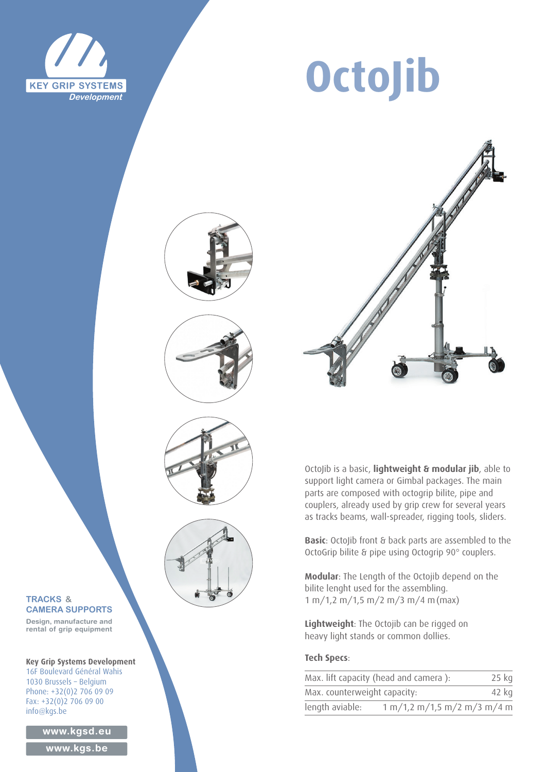

# **OctoJib**









### OctoJib is a basic, **lightweight & modular jib**, able to support light camera or Gimbal packages. The main parts are composed with octogrip bilite, pipe and couplers, already used by grip crew for several years as tracks beams, wall-spreader, rigging tools, sliders.

**Basic**: OctoJib front & back parts are assembled to the OctoGrip bilite & pipe using Octogrip 90° couplers.

**Modular**: The Length of the Octojib depend on the bilite lenght used for the assembling. 1 m/1,2 m/1,5 m/2 m/3 m/4 m(max)

**Lightweight**: The Octojib can be rigged on heavy light stands or common dollies.

#### **Tech Specs**:

| Max. lift capacity (head and camera):<br>Max. counterweight capacity: |                               | $25$ kg |
|-----------------------------------------------------------------------|-------------------------------|---------|
|                                                                       |                               | 42 kg   |
| length aviable:                                                       | 1 m/1, 2 m/1, 5 m/2 m/3 m/4 m |         |

#### **TRACKS & CAMERA SUPPORTS**

**Design, manufacture and rental of grip equipment**

**Key Grip Systems Development** 16F Boulevard Général Wahis 1030 Brussels – Belgium Phone: +32(0)2 706 09 09 Fax: +32(0)2 706 09 00 info@kgs.be

**www.kgsd.eu**

**www.kgs.be**